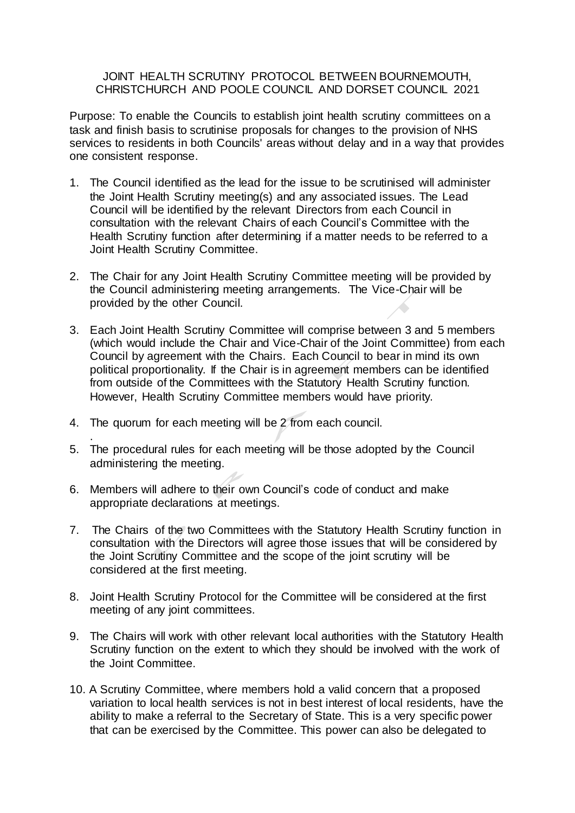## JOINT HEALTH SCRUTINY PROTOCOL BETWEEN BOURNEMOUTH, CHRISTCHURCH AND POOLE COUNCIL AND DORSET COUNCIL 2021

Purpose: To enable the Councils to establish joint health scrutiny committees on a task and finish basis to scrutinise proposals for changes to the provision of NHS services to residents in both Councils' areas without delay and in a way that provides one consistent response.

- 1. The Council identified as the lead for the issue to be scrutinised will administer the Joint Health Scrutiny meeting(s) and any associated issues. The Lead Council will be identified by the relevant Directors from each Council in consultation with the relevant Chairs of each Council's Committee with the Health Scrutiny function after determining if a matter needs to be referred to a Joint Health Scrutiny Committee.
- 2. The Chair for any Joint Health Scrutiny Committee meeting will be provided by the Council administering meeting arrangements. The Vice-Chair will be provided by the other Council.
- 3. Each Joint Health Scrutiny Committee will comprise between 3 and 5 members (which would include the Chair and Vice-Chair of the Joint Committee) from each Council by agreement with the Chairs. Each Council to bear in mind its own political proportionality. If the Chair is in agreement members can be identified from outside of the Committees with the Statutory Health Scrutiny function. However, Health Scrutiny Committee members would have priority.
- 4. The quorum for each meeting will be 2 from each council.
- . 5. The procedural rules for each meeting will be those adopted by the Council administering the meeting.
- 6. Members will adhere to their own Council's code of conduct and make appropriate declarations at meetings.
- 7. The Chairs of the two Committees with the Statutory Health Scrutiny function in consultation with the Directors will agree those issues that will be considered by the Joint Scrutiny Committee and the scope of the joint scrutiny will be considered at the first meeting.
- 8. Joint Health Scrutiny Protocol for the Committee will be considered at the first meeting of any joint committees.
- 9. The Chairs will work with other relevant local authorities with the Statutory Health Scrutiny function on the extent to which they should be involved with the work of the Joint Committee.
- 10. A Scrutiny Committee, where members hold a valid concern that a proposed variation to local health services is not in best interest of local residents, have the ability to make a referral to the Secretary of State. This is a very specific power that can be exercised by the Committee. This power can also be delegated to